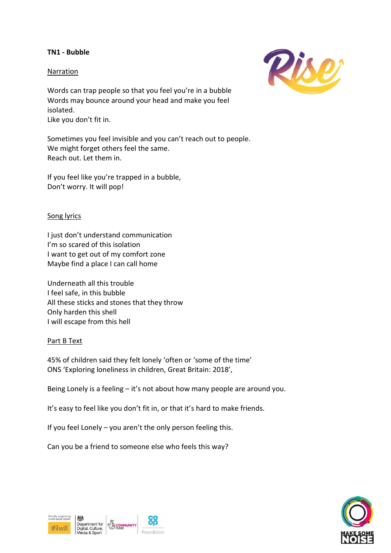# **TN1 - Bubble**

# Narration

Words can trap people so that you feel you're in a bubble Words may bounce around your head and make you feel isolated. Like you don't fit in.

Sometimes you feel invisible and you can't reach out to people. We might forget others feel the same. Reach out. Let them in.

If you feel like you're trapped in a bubble, Don't worry. It will pop!

# Song lyrics

I just don't understand communication I'm so scared of this isolation I want to get out of my comfort zone Maybe find a place I can call home

Underneath all this trouble I feel safe, in this bubble All these sticks and stones that they throw Only harden this shell I will escape from this hell

# Part B Text

45% of children said they felt lonely 'often or 'some of the time' ONS 'Exploring loneliness in children, Great Britain: 2018',

Being Lonely is a feeling – it's not about how many people are around you.

It's easy to feel like you don't fit in, or that it's hard to make friends.

If you feel Lonely – you aren't the only person feeling this.

Can you be a friend to someone else who feels this way?





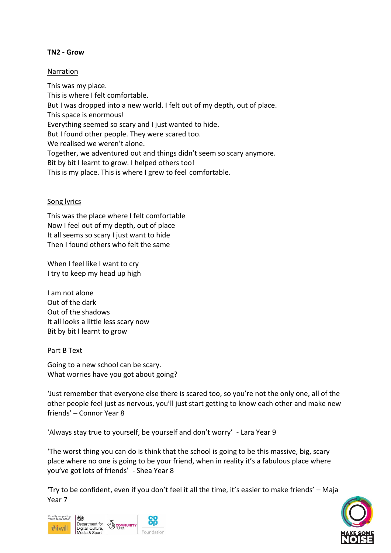# **TN2 - Grow**

# Narration

This was my place. This is where I felt comfortable. But I was dropped into a new world. I felt out of my depth, out of place. This space is enormous! Everything seemed so scary and I just wanted to hide. But I found other people. They were scared too. We realised we weren't alone. Together, we adventured out and things didn't seem so scary anymore. Bit by bit I learnt to grow. I helped others too! This is my place. This is where I grew to feel comfortable.

### Song lyrics

This was the place where I felt comfortable Now I feel out of my depth, out of place It all seems so scary I just want to hide Then I found others who felt the same

When I feel like I want to cry I try to keep my head up high

I am not alone Out of the dark Out of the shadows It all looks a little less scary now Bit by bit I learnt to grow

#### Part B Text

Going to a new school can be scary. What worries have you got about going?

'Just remember that everyone else there is scared too, so you're not the only one, all of the other people feel just as nervous, you'll just start getting to know each other and make new friends' – Connor Year 8

'Always stay true to yourself, be yourself and don't worry' - Lara Year 9

'The worst thing you can do is think that the school is going to be this massive, big, scary place where no one is going to be your friend, when in reality it's a fabulous place where you've got lots of friends' - Shea Year 8

'Try to be confident, even if you don't feel it all the time, it's easier to make friends' – Maja Year 7